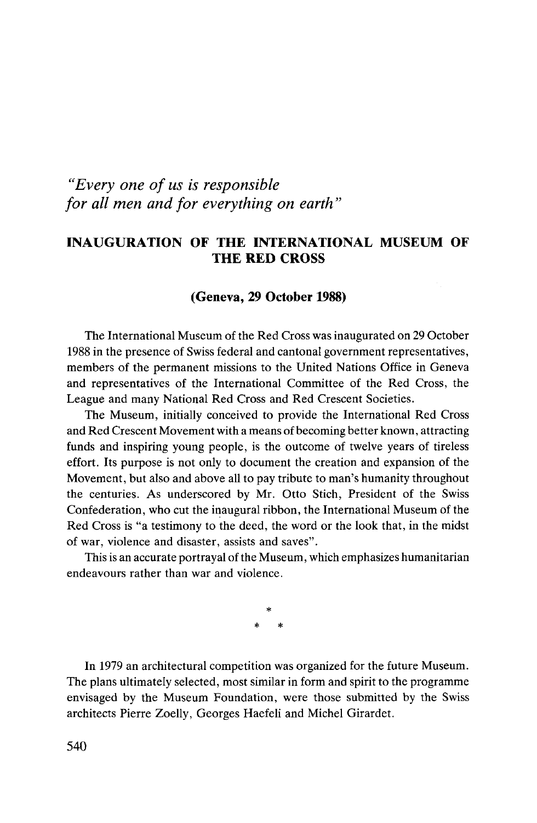## *"Every one of us is responsible for all men and for everything on earth"*

## INAUGURATION OF THE INTERNATIONAL MUSEUM OF THE RED CROSS

## (Geneva, 29 October 1988)

The International Museum of the Red Cross was inaugurated on 29 October 1988 in the presence of Swiss federal and cantonal government representatives, members of the permanent missions to the United Nations Office in Geneva and representatives of the International Committee of the Red Cross, the League and many National Red Cross and Red Crescent Societies.

The Museum, initially conceived to provide the International Red Cross and Red Crescent Movement with a means of becoming better known, attracting funds and inspiring young people, is the outcome of twelve years of tireless effort. Its purpose is not only to document the creation and expansion of the Movement, but also and above all to pay tribute to man's humanity throughout the centuries. As underscored by Mr. Otto Stich, President of the Swiss Confederation, who cut the inaugural ribbon, the International Museum of the Red Cross is "a testimony to the deed, the word or the look that, in the midst of war, violence and disaster, assists and saves".

This is an accurate portrayal of the Museum, which emphasizes humanitarian endeavours rather than war and violence.

> **\* \* \***

In 1979 an architectural competition was organized for the future Museum. The plans ultimately selected, most similar in form and spirit to the programme envisaged by the Museum Foundation, were those submitted by the Swiss architects Pierre Zoelly, Georges Haefeli and Michel Girardet.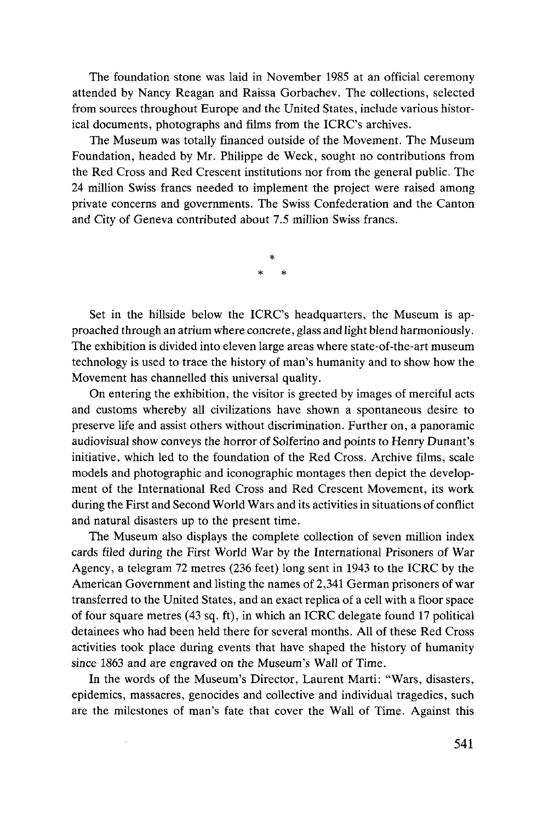The foundation stone was laid in November 1985 at an official ceremony attended by Nancy Reagan and Raissa Gorbachev. The collections, selected from sources throughout Europe and the United States, include various historical documents, photographs and films from the ICRC's archives.

The Museum was totally financed outside of the Movement. The Museum Foundation, headed by Mr. Philippe de Week, sought no contributions from the Red Cross and Red Crescent institutions nor from the general public. The 24 million Swiss francs needed to implement the project were raised among private concerns and governments. The Swiss Confederation and the Canton and City of Geneva contributed about 7.5 million Swiss francs.

Set in the hillside below the ICRC's headquarters, the Museum is approached through an atrium where concrete, glass and light blend harmoniously. The exhibition is divided into eleven large areas where state-of-the-art museum technology is used to trace the history of man's humanity and to show how the Movement has channelled this universal quality.

On entering the exhibition, the visitor is greeted by images of merciful acts and customs whereby all civilizations have shown a spontaneous desire to preserve life and assist others without discrimination. Further on, a panoramic audiovisual show conveys the horror of Solferino and points to Henry Dunant's initiative, which led to the foundation of the Red Cross. Archive films, scale models and photographic and iconographic montages then depict the development of the International Red Cross and Red Crescent Movement, its work during the First and Second World Wars and its activities in situations of conflict and natural disasters up to the present time.

The Museum also displays the complete collection of seven million index cards filed during the First World War by the International Prisoners of War Agency, a telegram 72 metres (236 feet) long sent in 1943 to the ICRC by the American Government and listing the names of 2,341 German prisoners of war transferred to the United States, and an exact replica of a cell with a floor space of four square metres (43 sq. ft), in which an ICRC delegate found 17 political detainees who had been held there for several months. All of these Red Cross activities took place during events that have shaped the history of humanity since 1863 and are engraved on the Museum's Wall of Time.

In the words of the Museum's Director, Laurent Marti: "Wars, disasters, epidemics, massacres, genocides and collective and individual tragedies, such are the milestones of man's fate that cover the Wall of Time. Against this